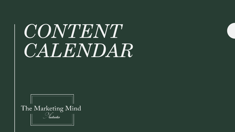# *CONTENT CALENDAR*

The Marketing Mind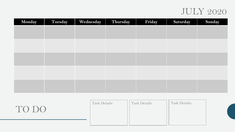#### JULY 2020

| Monday | Tuesday | Wednesday | Thursday | Friday | Saturday | Sunday |
|--------|---------|-----------|----------|--------|----------|--------|
|        |         |           |          |        |          |        |
|        |         |           |          |        |          |        |
|        |         |           |          |        |          |        |
|        |         |           |          |        |          |        |
|        |         |           |          |        |          |        |
|        |         |           |          |        |          |        |
|        |         |           |          |        |          |        |
|        |         |           |          |        |          |        |
|        |         |           |          |        |          |        |
|        |         |           |          |        |          |        |

| TO DO | Task Details: | <b>Task Details:</b> | <b>Task Details:</b> |  |
|-------|---------------|----------------------|----------------------|--|
|       |               |                      |                      |  |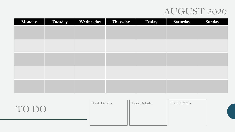# AUGUST 2020

| Monday | Tuesday | Wednesday | Thursday | Friday | Saturday | Sunday |
|--------|---------|-----------|----------|--------|----------|--------|
|        |         |           |          |        |          |        |
|        |         |           |          |        |          |        |
|        |         |           |          |        |          |        |
|        |         |           |          |        |          |        |
|        |         |           |          |        |          |        |
|        |         |           |          |        |          |        |
|        |         |           |          |        |          |        |
|        |         |           |          |        |          |        |
|        |         |           |          |        |          |        |
|        |         |           |          |        |          |        |

| TO DO | Task Details: | <b>Task Details:</b> | <b>Task Details:</b> |  |
|-------|---------------|----------------------|----------------------|--|
|       |               |                      |                      |  |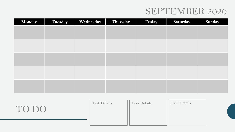# SEPTEMBER 2020

| Monday | Tuesday | Wednesday | Thursday | Friday | Saturday | Sunday |
|--------|---------|-----------|----------|--------|----------|--------|
|        |         |           |          |        |          |        |
|        |         |           |          |        |          |        |
|        |         |           |          |        |          |        |
|        |         |           |          |        |          |        |
|        |         |           |          |        |          |        |
|        |         |           |          |        |          |        |
|        |         |           |          |        |          |        |
|        |         |           |          |        |          |        |
|        |         |           |          |        |          |        |
|        |         |           |          |        |          |        |

| TO DO | Task Details: | <b>Task Details:</b> | <b>Task Details:</b> |  |
|-------|---------------|----------------------|----------------------|--|
|       |               |                      |                      |  |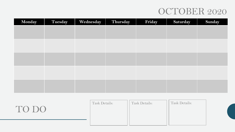# OCTOBER 2020

| Monday | Tuesday | Wednesday | Thursday | Friday | Saturday | Sunday |
|--------|---------|-----------|----------|--------|----------|--------|
|        |         |           |          |        |          |        |
|        |         |           |          |        |          |        |
|        |         |           |          |        |          |        |
|        |         |           |          |        |          |        |
|        |         |           |          |        |          |        |
|        |         |           |          |        |          |        |
|        |         |           |          |        |          |        |
|        |         |           |          |        |          |        |
|        |         |           |          |        |          |        |
|        |         |           |          |        |          |        |

| TO DO | Task Details: | <b>Task Details:</b> | <b>Task Details:</b> |  |
|-------|---------------|----------------------|----------------------|--|
|       |               |                      |                      |  |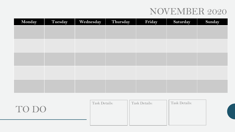# NOVEMBER 2020

| Monday | Tuesday | Wednesday | Thursday | Friday | Saturday | Sunday |
|--------|---------|-----------|----------|--------|----------|--------|
|        |         |           |          |        |          |        |
|        |         |           |          |        |          |        |
|        |         |           |          |        |          |        |
|        |         |           |          |        |          |        |
|        |         |           |          |        |          |        |
|        |         |           |          |        |          |        |
|        |         |           |          |        |          |        |
|        |         |           |          |        |          |        |
|        |         |           |          |        |          |        |
|        |         |           |          |        |          |        |

| TO DO | Task Details: | <b>Task Details:</b> | Task Details: |  |
|-------|---------------|----------------------|---------------|--|
|       |               |                      |               |  |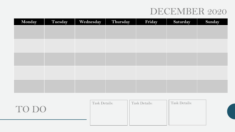# DECEMBER 2020

| Monday | Tuesday | Wednesday | Thursday | Friday | Saturday | Sunday |
|--------|---------|-----------|----------|--------|----------|--------|
|        |         |           |          |        |          |        |
|        |         |           |          |        |          |        |
|        |         |           |          |        |          |        |
|        |         |           |          |        |          |        |
|        |         |           |          |        |          |        |
|        |         |           |          |        |          |        |
|        |         |           |          |        |          |        |
|        |         |           |          |        |          |        |
|        |         |           |          |        |          |        |
|        |         |           |          |        |          |        |

| TO DO | Task Details: | <b>Task Details:</b> | <b>Task Details:</b> |  |
|-------|---------------|----------------------|----------------------|--|
|       |               |                      |                      |  |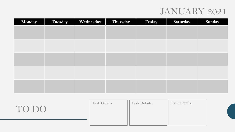# JANUARY 2021

| Monday | Tuesday | Wednesday | Thursday | Friday | Saturday | Sunday |
|--------|---------|-----------|----------|--------|----------|--------|
|        |         |           |          |        |          |        |
|        |         |           |          |        |          |        |
|        |         |           |          |        |          |        |
|        |         |           |          |        |          |        |
|        |         |           |          |        |          |        |
|        |         |           |          |        |          |        |
|        |         |           |          |        |          |        |
|        |         |           |          |        |          |        |
|        |         |           |          |        |          |        |
|        |         |           |          |        |          |        |

| TO DO | Task Details: | <b>Task Details:</b> | <b>Task Details:</b> |  |
|-------|---------------|----------------------|----------------------|--|
|       |               |                      |                      |  |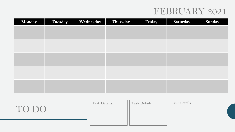# FEBRUARY 2021

| Monday | Tuesday | Wednesday | Thursday | Friday | Saturday | Sunday |
|--------|---------|-----------|----------|--------|----------|--------|
|        |         |           |          |        |          |        |
|        |         |           |          |        |          |        |
|        |         |           |          |        |          |        |
|        |         |           |          |        |          |        |
|        |         |           |          |        |          |        |
|        |         |           |          |        |          |        |
|        |         |           |          |        |          |        |
|        |         |           |          |        |          |        |
|        |         |           |          |        |          |        |
|        |         |           |          |        |          |        |

| TO DO | Task Details: | <b>Task Details:</b> | Task Details: |  |
|-------|---------------|----------------------|---------------|--|
|       |               |                      |               |  |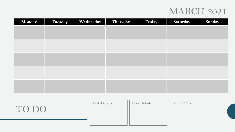### MARCH 2021

| Monday | Tuesday | Wednesday | Thursday | Friday | Saturday | Sunday |
|--------|---------|-----------|----------|--------|----------|--------|
|        |         |           |          |        |          |        |
|        |         |           |          |        |          |        |
|        |         |           |          |        |          |        |
|        |         |           |          |        |          |        |
|        |         |           |          |        |          |        |
|        |         |           |          |        |          |        |
|        |         |           |          |        |          |        |
|        |         |           |          |        |          |        |
|        |         |           |          |        |          |        |
|        |         |           |          |        |          |        |

| TO DO | Task Details: | Task Details: | <b>Task Details:</b> |  |
|-------|---------------|---------------|----------------------|--|
|       |               |               |                      |  |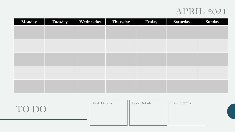### APRIL 2021

| Monday | Tuesday | Wednesday | Thursday | Friday | Saturday | Sunday |
|--------|---------|-----------|----------|--------|----------|--------|
|        |         |           |          |        |          |        |
|        |         |           |          |        |          |        |
|        |         |           |          |        |          |        |
|        |         |           |          |        |          |        |
|        |         |           |          |        |          |        |
|        |         |           |          |        |          |        |
|        |         |           |          |        |          |        |
|        |         |           |          |        |          |        |
|        |         |           |          |        |          |        |
|        |         |           |          |        |          |        |

| TO DO | Task Details: | <b>Task Details:</b> | <b>Task Details:</b> |  |
|-------|---------------|----------------------|----------------------|--|
|       |               |                      |                      |  |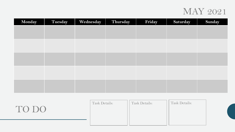#### MAY 2021

| Monday | Tuesday | Wednesday | Thursday | Friday | Saturday | Sunday |
|--------|---------|-----------|----------|--------|----------|--------|
|        |         |           |          |        |          |        |
|        |         |           |          |        |          |        |
|        |         |           |          |        |          |        |
|        |         |           |          |        |          |        |
|        |         |           |          |        |          |        |
|        |         |           |          |        |          |        |
|        |         |           |          |        |          |        |
|        |         |           |          |        |          |        |
|        |         |           |          |        |          |        |
|        |         |           |          |        |          |        |

| TO DO | <b>Task Details:</b> | <b>Task Details:</b> | <b>Task Details:</b> |  |
|-------|----------------------|----------------------|----------------------|--|
|       |                      |                      |                      |  |